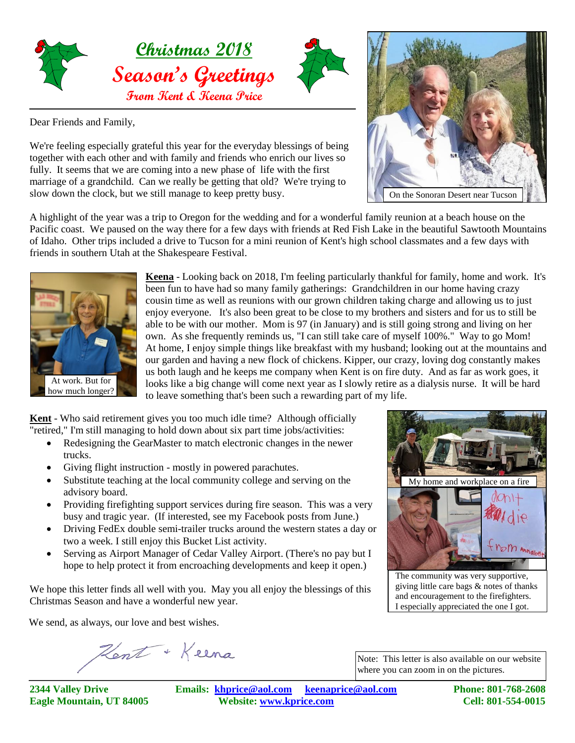

Dear Friends and Family,

We're feeling especially grateful this year for the everyday blessings of being together with each other and with family and friends who enrich our lives so fully. It seems that we are coming into a new phase of life with the first marriage of a grandchild. Can we really be getting that old? We're trying to slow down the clock, but we still manage to keep pretty busy.

A highlight of the year was a trip to Oregon for the wedding and for a wonderful family reunion at a beach house on the Pacific coast. We paused on the way there for a few days with friends at Red Fish Lake in the beautiful Sawtooth Mountains of Idaho. Other trips included a drive to Tucson for a mini reunion of Kent's high school classmates and a few days with friends in southern Utah at the Shakespeare Festival.



**Keena** - Looking back on 2018, I'm feeling particularly thankful for family, home and work. It's been fun to have had so many family gatherings: Grandchildren in our home having crazy cousin time as well as reunions with our grown children taking charge and allowing us to just enjoy everyone. It's also been great to be close to my brothers and sisters and for us to still be able to be with our mother. Mom is 97 (in January) and is still going strong and living on her own. As she frequently reminds us, "I can still take care of myself 100%." Way to go Mom! At home, I enjoy simple things like breakfast with my husband; looking out at the mountains and our garden and having a new flock of chickens. Kipper, our crazy, loving dog constantly makes us both laugh and he keeps me company when Kent is on fire duty. And as far as work goes, it looks like a big change will come next year as I slowly retire as a dialysis nurse. It will be hard to leave something that's been such a rewarding part of my life.

**Kent** - Who said retirement gives you too much idle time? Although officially "retired," I'm still managing to hold down about six part time jobs/activities:

- Redesigning the GearMaster to match electronic changes in the newer trucks.
- Giving flight instruction mostly in powered parachutes.
- Substitute teaching at the local community college and serving on the advisory board.
- Providing firefighting support services during fire season. This was a very busy and tragic year. (If interested, see my Facebook posts from June.)
- Driving FedEx double semi-trailer trucks around the western states a day or two a week. I still enjoy this Bucket List activity.
- Serving as Airport Manager of Cedar Valley Airport. (There's no pay but I hope to help protect it from encroaching developments and keep it open.)

We hope this letter finds all well with you. May you all enjoy the blessings of this Christmas Season and have a wonderful new year.

We send, as always, our love and best wishes.

Kent + Keena



**2344 Valley Drive Emails: [khprice@aol.com keenaprice@aol.com](mailto:khprice@aol.com) Phone: 801-768-2608 Eagle Mountain, UT 84005 Website: [www.kprice.com](mailto:khprice@aol.com) Cell: 801-554-0015**

The community was very supportive, giving little care bags & notes of thanks and encouragement to the firefighters. I especially appreciated the one I got.

My home and workplace on a fire

where you can zoom in on the pictures.

Note: This letter is also available on our website